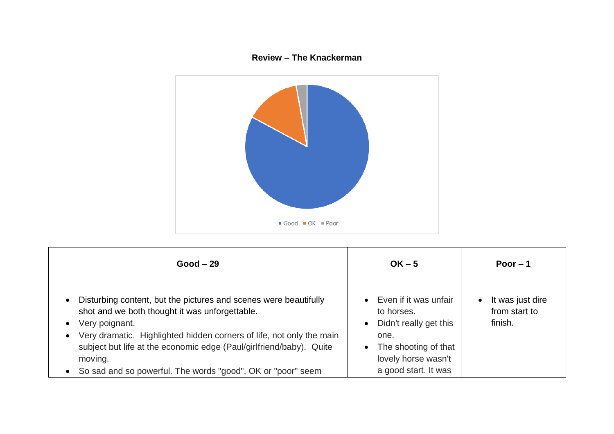## **Review – The Knackerman**



| $Good - 29$                                                                                                                                                                                                                                                                                                                                                     | $OK - 5$                                                                                                                                     | Poor $-1$                                                 |
|-----------------------------------------------------------------------------------------------------------------------------------------------------------------------------------------------------------------------------------------------------------------------------------------------------------------------------------------------------------------|----------------------------------------------------------------------------------------------------------------------------------------------|-----------------------------------------------------------|
| Disturbing content, but the pictures and scenes were beautifully<br>shot and we both thought it was unforgettable.<br>Very poignant.<br>Very dramatic. Highlighted hidden corners of life, not only the main<br>subject but life at the economic edge (Paul/girlfriend/baby). Quite<br>moving.<br>• So sad and so powerful. The words "good", OK or "poor" seem | Even if it was unfair<br>to horses.<br>Didn't really get this<br>one.<br>The shooting of that<br>lovely horse wasn't<br>a good start. It was | It was just dire<br>$\bullet$<br>from start to<br>finish. |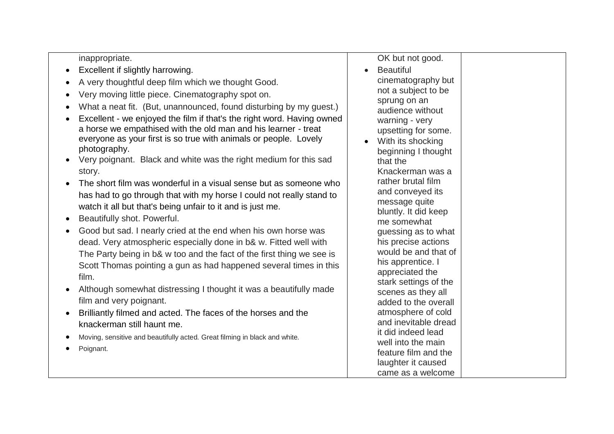inappropriate.

- Excellent if slightly harrowing.
- A very thoughtful deep film which we thought Good.
- Very moving little piece. Cinematography spot on.
- What a neat fit. (But, unannounced, found disturbing by my guest.)
- Excellent we enjoyed the film if that's the right word. Having owned a horse we empathised with the old man and his learner - treat everyone as your first is so true with animals or people. Lovely photography.
- Very poignant. Black and white was the right medium for this sad story.
- The short film was wonderful in a visual sense but as someone who has had to go through that with my horse I could not really stand to watch it all but that's being unfair to it and is just me.
- Beautifully shot. Powerful.
- Good but sad. I nearly cried at the end when his own horse was dead. Very atmospheric especially done in b& w. Fitted well with The Party being in b& w too and the fact of the first thing we see is Scott Thomas pointing a gun as had happened several times in this film.
- Although somewhat distressing I thought it was a beautifully made film and very poignant.
- Brilliantly filmed and acted. The faces of the horses and the knackerman still haunt me.
- Moving, sensitive and beautifully acted*.* Great filming in black and white*.*
- Poignant.

| OK but not good.                           |  |  |
|--------------------------------------------|--|--|
| <b>Beautiful</b>                           |  |  |
| cinematography but                         |  |  |
| not a subject to be                        |  |  |
| sprung on an                               |  |  |
| audience without                           |  |  |
| warning - very                             |  |  |
| upsetting for some.                        |  |  |
| With its shocking                          |  |  |
| beginning I thought                        |  |  |
| that the                                   |  |  |
| Knackerman was a                           |  |  |
| rather brutal film                         |  |  |
| and conveyed its                           |  |  |
| message quite                              |  |  |
| bluntly. It did keep                       |  |  |
| me somewhat                                |  |  |
| guessing as to what                        |  |  |
| his precise actions                        |  |  |
| would be and that of                       |  |  |
| his apprentice. I                          |  |  |
| appreciated the                            |  |  |
| stark settings of the                      |  |  |
| scenes as they all<br>added to the overall |  |  |
| atmosphere of cold                         |  |  |
| and inevitable dread                       |  |  |
| it did indeed lead                         |  |  |
| well into the main                         |  |  |
| feature film and the                       |  |  |
| laughter it caused                         |  |  |
| came as a welcome                          |  |  |